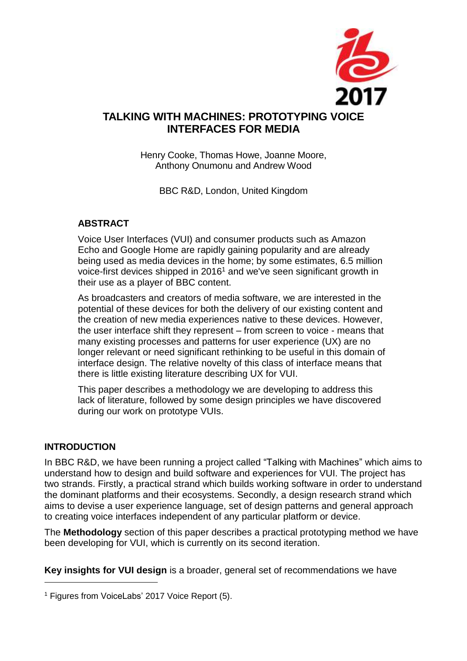

# **TALKING WITH MACHINES: PROTOTYPING VOICE INTERFACES FOR MEDIA**

Henry Cooke, Thomas Howe, Joanne Moore, Anthony Onumonu and Andrew Wood

BBC R&D, London, United Kingdom

### **ABSTRACT**

Voice User Interfaces (VUI) and consumer products such as Amazon Echo and Google Home are rapidly gaining popularity and are already being used as media devices in the home; by some estimates, 6.5 million voice-first devices shipped in 2016<sup>1</sup> and we've seen significant growth in their use as a player of BBC content.

As broadcasters and creators of media software, we are interested in the potential of these devices for both the delivery of our existing content and the creation of new media experiences native to these devices. However, the user interface shift they represent – from screen to voice - means that many existing processes and patterns for user experience (UX) are no longer relevant or need significant rethinking to be useful in this domain of interface design. The relative novelty of this class of interface means that there is little existing literature describing UX for VUI.

This paper describes a methodology we are developing to address this lack of literature, followed by some design principles we have discovered during our work on prototype VUIs.

#### **INTRODUCTION**

 $\overline{a}$ 

In BBC R&D, we have been running a project called "Talking with Machines" which aims to understand how to design and build software and experiences for VUI. The project has two strands. Firstly, a practical strand which builds working software in order to understand the dominant platforms and their ecosystems. Secondly, a design research strand which aims to devise a user experience language, set of design patterns and general approach to creating voice interfaces independent of any particular platform or device.

The **Methodology** section of this paper describes a practical prototyping method we have been developing for VUI, which is currently on its second iteration.

**Key insights for VUI design** is a broader, general set of recommendations we have

<sup>&</sup>lt;sup>1</sup> Figures from VoiceLabs' 2017 Voice Report (5).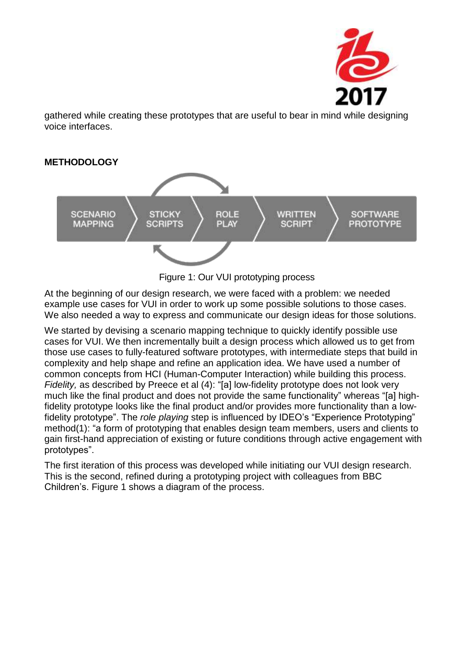

gathered while creating these prototypes that are useful to bear in mind while designing voice interfaces.



Figure 1: Our VUI prototyping process

At the beginning of our design research, we were faced with a problem: we needed example use cases for VUI in order to work up some possible solutions to those cases. We also needed a way to express and communicate our design ideas for those solutions.

We started by devising a scenario mapping technique to quickly identify possible use cases for VUI. We then incrementally built a design process which allowed us to get from those use cases to fully-featured software prototypes, with intermediate steps that build in complexity and help shape and refine an application idea. We have used a number of common concepts from HCI (Human-Computer Interaction) while building this process. *Fidelity,* as described by Preece et al (4): "[a] low-fidelity prototype does not look very much like the final product and does not provide the same functionality" whereas "[a] highfidelity prototype looks like the final product and/or provides more functionality than a lowfidelity prototype". The *role playing* step is influenced by IDEO's "Experience Prototyping" method(1): "a form of prototyping that enables design team members, users and clients to gain first-hand appreciation of existing or future conditions through active engagement with prototypes".

The first iteration of this process was developed while initiating our VUI design research. This is the second, refined during a prototyping project with colleagues from BBC Children's. Figure 1 shows a diagram of the process.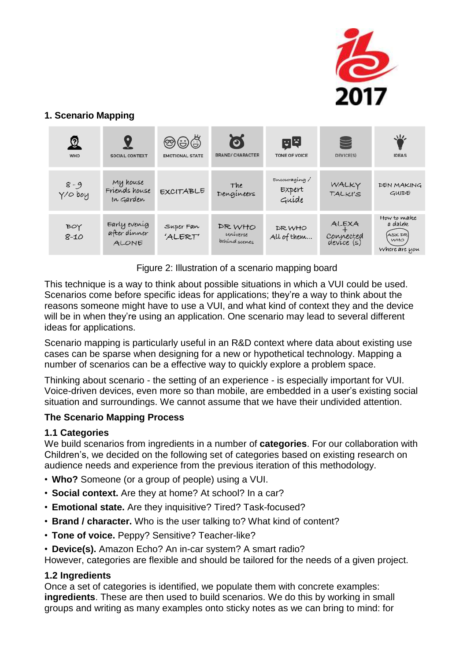

## **1. Scenario Mapping**

| Q<br>WHO             | <b>SOCIAL CONTEXT</b>                        | <b>@</b> @ඊ<br><b>EMOTIONAL STATE</b> | ි<br><b>BRAND/CHARACTER</b>         | 四甲<br><b>TONE OF VOICE</b>      | $\boxtimes$<br>DEVICE(S)         | 氺<br><b>IDEAS</b>                                          |
|----------------------|----------------------------------------------|---------------------------------------|-------------------------------------|---------------------------------|----------------------------------|------------------------------------------------------------|
| $8 - 9$<br>$Y/O$ boy | My house<br>Friends house<br>In Garden       | <b>EXCITABLE</b>                      | The<br>Dengineers                   | Encouraging/<br>Expert<br>Guíde | WALKY<br>TALKI'S                 | DEN MAKING<br>GUIDE                                        |
| BOY<br>$8 - 10$      | Early evenig<br>after dinner<br><b>ALONE</b> | Super Fan<br>'ALERT'                  | DR WHO<br>universe<br>behind scenes | DR WHO<br>All of them           | ALEXA<br>Connected<br>device (s) | How to make<br>a dalek<br>(ASK DR)<br>WHO<br>Where are you |

Figure 2: Illustration of a scenario mapping board

This technique is a way to think about possible situations in which a VUI could be used. Scenarios come before specific ideas for applications; they're a way to think about the reasons someone might have to use a VUI, and what kind of context they and the device will be in when they're using an application. One scenario may lead to several different ideas for applications.

Scenario mapping is particularly useful in an R&D context where data about existing use cases can be sparse when designing for a new or hypothetical technology. Mapping a number of scenarios can be a effective way to quickly explore a problem space.

Thinking about scenario - the setting of an experience - is especially important for VUI. Voice-driven devices, even more so than mobile, are embedded in a user's existing social situation and surroundings. We cannot assume that we have their undivided attention.

### **The Scenario Mapping Process**

### **1.1 Categories**

We build scenarios from ingredients in a number of **categories**. For our collaboration with Children's, we decided on the following set of categories based on existing research on audience needs and experience from the previous iteration of this methodology.

- **Who?** Someone (or a group of people) using a VUI.
- **Social context.** Are they at home? At school? In a car?
- **Emotional state.** Are they inquisitive? Tired? Task-focused?
- **Brand / character.** Who is the user talking to? What kind of content?
- **Tone of voice.** Peppy? Sensitive? Teacher-like?
- **Device(s).** Amazon Echo? An in-car system? A smart radio?

However, categories are flexible and should be tailored for the needs of a given project.

### **1.2 Ingredients**

Once a set of categories is identified, we populate them with concrete examples: **ingredients**. These are then used to build scenarios. We do this by working in small groups and writing as many examples onto sticky notes as we can bring to mind: for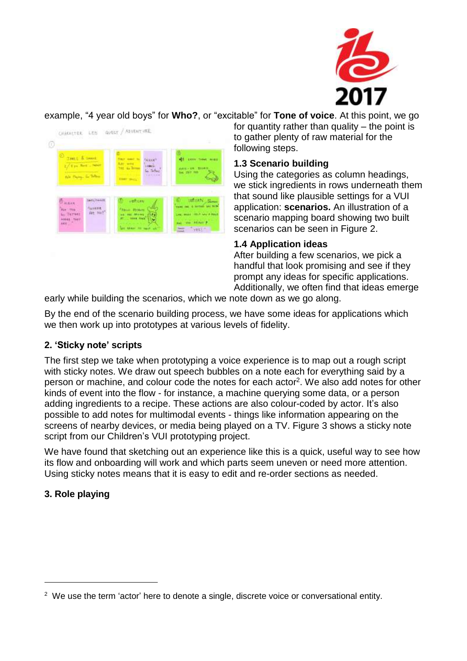

example, "4 year old boys" for **Who?**, or "excitable" for **Tone of voice**. At this point, we go



for quantity rather than quality  $-$  the point is to gather plenty of raw material for the following steps.

## **1.3 Scenario building**

Using the categories as column headings, we stick ingredients in rows underneath them that sound like plausible settings for a VUI application: **scenarios.** An illustration of a scenario mapping board showing two built scenarios can be seen in Figure 2.

## **1.4 Application ideas**

After building a few scenarios, we pick a handful that look promising and see if they prompt any ideas for specific applications. Additionally, we often find that ideas emerge

early while building the scenarios, which we note down as we go along.

By the end of the scenario building process, we have some ideas for applications which we then work up into prototypes at various levels of fidelity.

## **2. 'Sticky note' scripts**

The first step we take when prototyping a voice experience is to map out a rough script with sticky notes. We draw out speech bubbles on a note each for everything said by a person or machine, and colour code the notes for each actor<sup>2</sup>. We also add notes for other kinds of event into the flow - for instance, a machine querying some data, or a person adding ingredients to a recipe. These actions are also colour-coded by actor. It's also possible to add notes for multimodal events - things like information appearing on the screens of nearby devices, or media being played on a TV. Figure 3 shows a sticky note script from our Children's VUI prototyping project.

We have found that sketching out an experience like this is a quick, useful way to see how its flow and onboarding will work and which parts seem uneven or need more attention. Using sticky notes means that it is easy to edit and re-order sections as needed.

# **3. Role playing**

 $\overline{a}$ 

 $2$  We use the term 'actor' here to denote a single, discrete voice or conversational entity.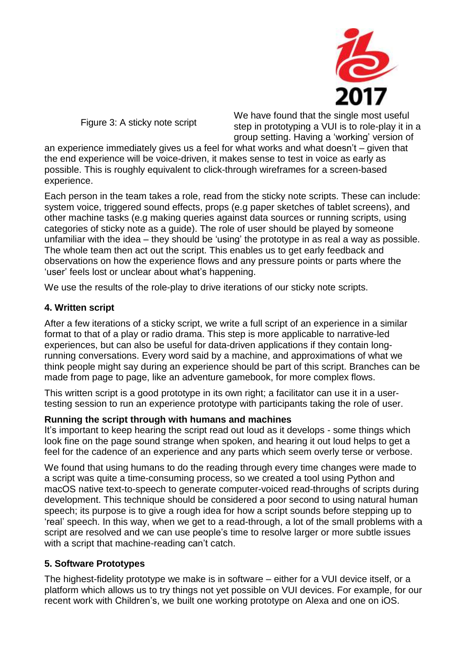

Figure 3: A sticky note script

We have found that the single most useful step in prototyping a VUI is to role-play it in a group setting. Having a 'working' version of

an experience immediately gives us a feel for what works and what doesn't – given that the end experience will be voice-driven, it makes sense to test in voice as early as possible. This is roughly equivalent to click-through wireframes for a screen-based experience.

Each person in the team takes a role, read from the sticky note scripts. These can include: system voice, triggered sound effects, props (e.g paper sketches of tablet screens), and other machine tasks (e.g making queries against data sources or running scripts, using categories of sticky note as a guide). The role of user should be played by someone unfamiliar with the idea – they should be 'using' the prototype in as real a way as possible. The whole team then act out the script. This enables us to get early feedback and observations on how the experience flows and any pressure points or parts where the 'user' feels lost or unclear about what's happening.

We use the results of the role-play to drive iterations of our sticky note scripts.

### **4. Written script**

After a few iterations of a sticky script, we write a full script of an experience in a similar format to that of a play or radio drama. This step is more applicable to narrative-led experiences, but can also be useful for data-driven applications if they contain longrunning conversations. Every word said by a machine, and approximations of what we think people might say during an experience should be part of this script. Branches can be made from page to page, like an adventure gamebook, for more complex flows.

This written script is a good prototype in its own right; a facilitator can use it in a usertesting session to run an experience prototype with participants taking the role of user.

### **Running the script through with humans and machines**

It's important to keep hearing the script read out loud as it develops - some things which look fine on the page sound strange when spoken, and hearing it out loud helps to get a feel for the cadence of an experience and any parts which seem overly terse or verbose.

We found that using humans to do the reading through every time changes were made to a script was quite a time-consuming process, so we created a tool using Python and macOS native text-to-speech to generate computer-voiced read-throughs of scripts during development. This technique should be considered a poor second to using natural human speech; its purpose is to give a rough idea for how a script sounds before stepping up to 'real' speech. In this way, when we get to a read-through, a lot of the small problems with a script are resolved and we can use people's time to resolve larger or more subtle issues with a script that machine-reading can't catch.

### **5. Software Prototypes**

The highest-fidelity prototype we make is in software – either for a VUI device itself, or a platform which allows us to try things not yet possible on VUI devices. For example, for our recent work with Children's, we built one working prototype on Alexa and one on iOS.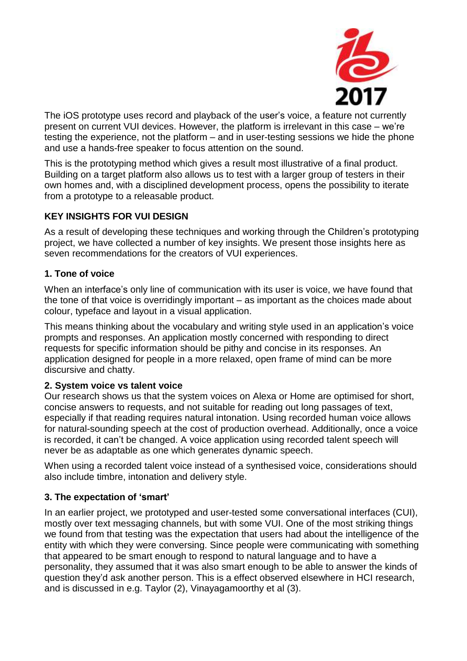

The iOS prototype uses record and playback of the user's voice, a feature not currently present on current VUI devices. However, the platform is irrelevant in this case – we're testing the experience, not the platform – and in user-testing sessions we hide the phone and use a hands-free speaker to focus attention on the sound.

This is the prototyping method which gives a result most illustrative of a final product. Building on a target platform also allows us to test with a larger group of testers in their own homes and, with a disciplined development process, opens the possibility to iterate from a prototype to a releasable product.

### **KEY INSIGHTS FOR VUI DESIGN**

As a result of developing these techniques and working through the Children's prototyping project, we have collected a number of key insights. We present those insights here as seven recommendations for the creators of VUI experiences.

### **1. Tone of voice**

When an interface's only line of communication with its user is voice, we have found that the tone of that voice is overridingly important – as important as the choices made about colour, typeface and layout in a visual application.

This means thinking about the vocabulary and writing style used in an application's voice prompts and responses. An application mostly concerned with responding to direct requests for specific information should be pithy and concise in its responses. An application designed for people in a more relaxed, open frame of mind can be more discursive and chatty.

### **2. System voice vs talent voice**

Our research shows us that the system voices on Alexa or Home are optimised for short, concise answers to requests, and not suitable for reading out long passages of text, especially if that reading requires natural intonation. Using recorded human voice allows for natural-sounding speech at the cost of production overhead. Additionally, once a voice is recorded, it can't be changed. A voice application using recorded talent speech will never be as adaptable as one which generates dynamic speech.

When using a recorded talent voice instead of a synthesised voice, considerations should also include timbre, intonation and delivery style.

### **3. The expectation of 'smart'**

In an earlier project, we prototyped and user-tested some conversational interfaces (CUI), mostly over text messaging channels, but with some VUI. One of the most striking things we found from that testing was the expectation that users had about the intelligence of the entity with which they were conversing. Since people were communicating with something that appeared to be smart enough to respond to natural language and to have a personality, they assumed that it was also smart enough to be able to answer the kinds of question they'd ask another person. This is a effect observed elsewhere in HCI research, and is discussed in e.g. Taylor (2), Vinayagamoorthy et al (3).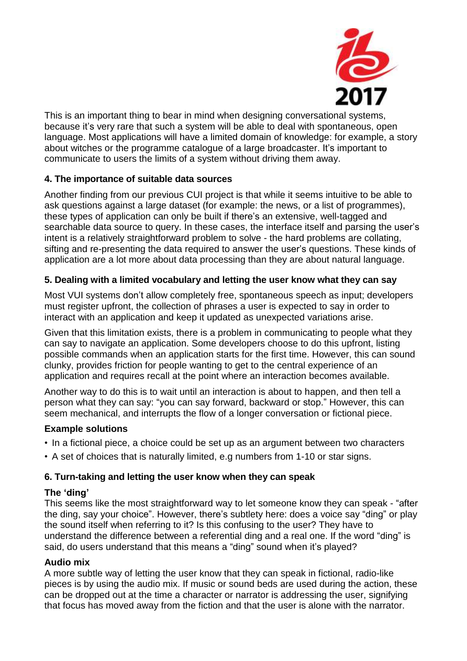

This is an important thing to bear in mind when designing conversational systems, because it's very rare that such a system will be able to deal with spontaneous, open language. Most applications will have a limited domain of knowledge: for example, a story about witches or the programme catalogue of a large broadcaster. It's important to communicate to users the limits of a system without driving them away.

### **4. The importance of suitable data sources**

Another finding from our previous CUI project is that while it seems intuitive to be able to ask questions against a large dataset (for example: the news, or a list of programmes), these types of application can only be built if there's an extensive, well-tagged and searchable data source to query. In these cases, the interface itself and parsing the user's intent is a relatively straightforward problem to solve - the hard problems are collating, sifting and re-presenting the data required to answer the user's questions. These kinds of application are a lot more about data processing than they are about natural language.

#### **5. Dealing with a limited vocabulary and letting the user know what they can say**

Most VUI systems don't allow completely free, spontaneous speech as input; developers must register upfront, the collection of phrases a user is expected to say in order to interact with an application and keep it updated as unexpected variations arise.

Given that this limitation exists, there is a problem in communicating to people what they can say to navigate an application. Some developers choose to do this upfront, listing possible commands when an application starts for the first time. However, this can sound clunky, provides friction for people wanting to get to the central experience of an application and requires recall at the point where an interaction becomes available.

Another way to do this is to wait until an interaction is about to happen, and then tell a person what they can say: "you can say forward, backward or stop." However, this can seem mechanical, and interrupts the flow of a longer conversation or fictional piece.

#### **Example solutions**

- In a fictional piece, a choice could be set up as an argument between two characters
- A set of choices that is naturally limited, e.g numbers from 1-10 or star signs.

### **6. Turn-taking and letting the user know when they can speak**

#### **The 'ding'**

This seems like the most straightforward way to let someone know they can speak - "after the ding, say your choice". However, there's subtlety here: does a voice say "ding" or play the sound itself when referring to it? Is this confusing to the user? They have to understand the difference between a referential ding and a real one. If the word "ding" is said, do users understand that this means a "ding" sound when it's played?

#### **Audio mix**

A more subtle way of letting the user know that they can speak in fictional, radio-like pieces is by using the audio mix. If music or sound beds are used during the action, these can be dropped out at the time a character or narrator is addressing the user, signifying that focus has moved away from the fiction and that the user is alone with the narrator.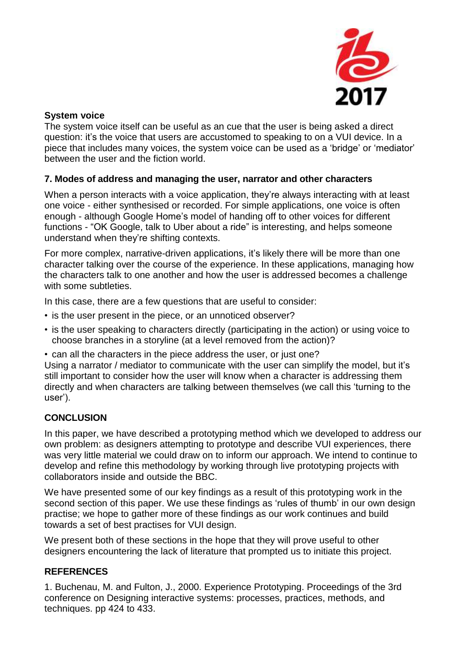

### **System voice**

The system voice itself can be useful as an cue that the user is being asked a direct question: it's the voice that users are accustomed to speaking to on a VUI device. In a piece that includes many voices, the system voice can be used as a 'bridge' or 'mediator' between the user and the fiction world.

### **7. Modes of address and managing the user, narrator and other characters**

When a person interacts with a voice application, they're always interacting with at least one voice - either synthesised or recorded. For simple applications, one voice is often enough - although Google Home's model of handing off to other voices for different functions - "OK Google, talk to Uber about a ride" is interesting, and helps someone understand when they're shifting contexts.

For more complex, narrative-driven applications, it's likely there will be more than one character talking over the course of the experience. In these applications, managing how the characters talk to one another and how the user is addressed becomes a challenge with some subtleties.

In this case, there are a few questions that are useful to consider:

- is the user present in the piece, or an unnoticed observer?
- is the user speaking to characters directly (participating in the action) or using voice to choose branches in a storyline (at a level removed from the action)?
- can all the characters in the piece address the user, or just one?

Using a narrator / mediator to communicate with the user can simplify the model, but it's still important to consider how the user will know when a character is addressing them directly and when characters are talking between themselves (we call this 'turning to the user').

## **CONCLUSION**

In this paper, we have described a prototyping method which we developed to address our own problem: as designers attempting to prototype and describe VUI experiences, there was very little material we could draw on to inform our approach. We intend to continue to develop and refine this methodology by working through live prototyping projects with collaborators inside and outside the BBC.

We have presented some of our key findings as a result of this prototyping work in the second section of this paper. We use these findings as 'rules of thumb' in our own design practise; we hope to gather more of these findings as our work continues and build towards a set of best practises for VUI design.

We present both of these sections in the hope that they will prove useful to other designers encountering the lack of literature that prompted us to initiate this project.

### **REFERENCES**

1. Buchenau, M. and Fulton, J., 2000. Experience Prototyping. Proceedings of the 3rd conference on Designing interactive systems: processes, practices, methods, and techniques. pp 424 to 433.